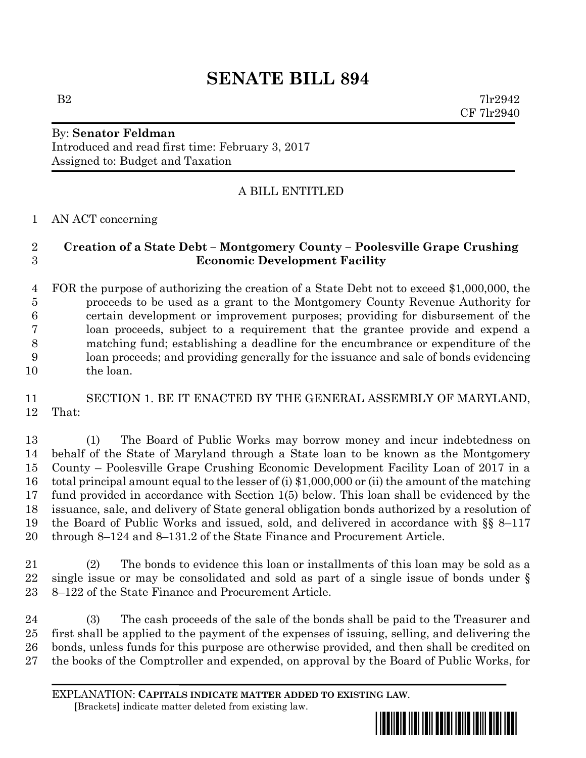## **SENATE BILL 894**

By: **Senator Feldman** Introduced and read first time: February 3, 2017

Assigned to: Budget and Taxation

## A BILL ENTITLED

AN ACT concerning

## **Creation of a State Debt – Montgomery County – Poolesville Grape Crushing Economic Development Facility**

 FOR the purpose of authorizing the creation of a State Debt not to exceed \$1,000,000, the proceeds to be used as a grant to the Montgomery County Revenue Authority for certain development or improvement purposes; providing for disbursement of the loan proceeds, subject to a requirement that the grantee provide and expend a matching fund; establishing a deadline for the encumbrance or expenditure of the loan proceeds; and providing generally for the issuance and sale of bonds evidencing the loan.

 SECTION 1. BE IT ENACTED BY THE GENERAL ASSEMBLY OF MARYLAND, That:

 (1) The Board of Public Works may borrow money and incur indebtedness on behalf of the State of Maryland through a State loan to be known as the Montgomery County – Poolesville Grape Crushing Economic Development Facility Loan of 2017 in a total principal amount equal to the lesser of (i) \$1,000,000 or (ii) the amount of the matching fund provided in accordance with Section 1(5) below. This loan shall be evidenced by the issuance, sale, and delivery of State general obligation bonds authorized by a resolution of the Board of Public Works and issued, sold, and delivered in accordance with §§ 8–117 through 8–124 and 8–131.2 of the State Finance and Procurement Article.

 (2) The bonds to evidence this loan or installments of this loan may be sold as a single issue or may be consolidated and sold as part of a single issue of bonds under § 8–122 of the State Finance and Procurement Article.

 (3) The cash proceeds of the sale of the bonds shall be paid to the Treasurer and first shall be applied to the payment of the expenses of issuing, selling, and delivering the bonds, unless funds for this purpose are otherwise provided, and then shall be credited on the books of the Comptroller and expended, on approval by the Board of Public Works, for

EXPLANATION: **CAPITALS INDICATE MATTER ADDED TO EXISTING LAW**.  **[**Brackets**]** indicate matter deleted from existing law.

<u>\*sb089494949494949494949494</u>